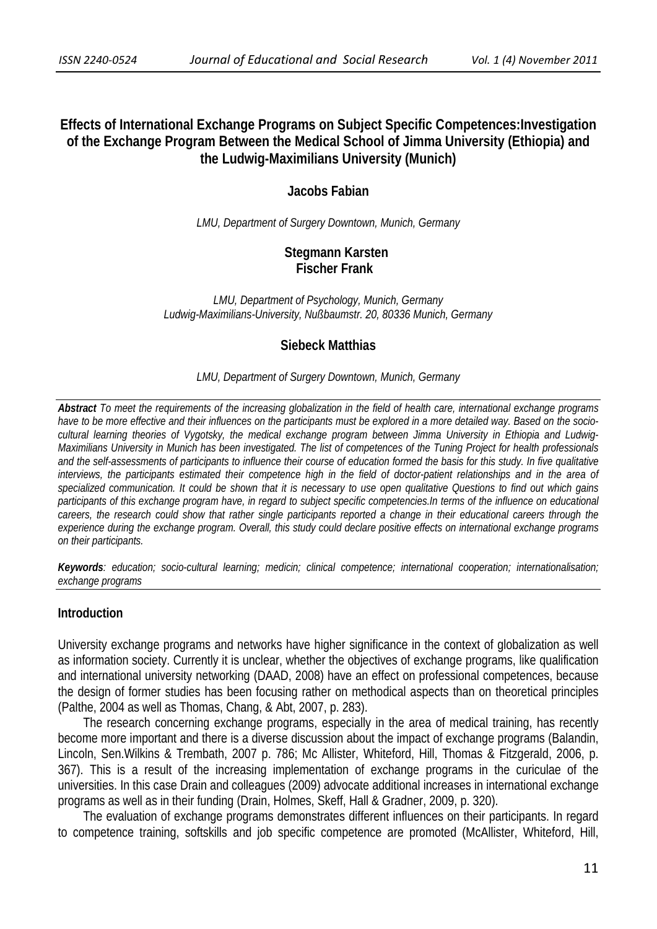# **Effects of International Exchange Programs on Subject Specific Competences:Investigation of the Exchange Program Between the Medical School of Jimma University (Ethiopia) and the Ludwig-Maximilians University (Munich)**

## **Jacobs Fabian**

*LMU, Department of Surgery Downtown, Munich, Germany*

# **Stegmann Karsten Fischer Frank**

*LMU, Department of Psychology, Munich, Germany Ludwig-Maximilians-University, Nußbaumstr. 20, 80336 Munich, Germany* 

# **Siebeck Matthias**

#### *LMU, Department of Surgery Downtown, Munich, Germany*

*Abstract To meet the requirements of the increasing globalization in the field of health care, international exchange programs have to be more effective and their influences on the participants must be explored in a more detailed way. Based on the sociocultural learning theories of Vygotsky, the medical exchange program between Jimma University in Ethiopia and Ludwig-Maximilians University in Munich has been investigated. The list of competences of the Tuning Project for health professionals and the self-assessments of participants to influence their course of education formed the basis for this study. In five qualitative interviews, the participants estimated their competence high in the field of doctor-patient relationships and in the area of specialized communication. It could be shown that it is necessary to use open qualitative Questions to find out which gains participants of this exchange program have, in regard to subject specific competencies.In terms of the influence on educational careers, the research could show that rather single participants reported a change in their educational careers through the experience during the exchange program. Overall, this study could declare positive effects on international exchange programs on their participants.*

*Keywords: education; socio-cultural learning; medicin; clinical competence; international cooperation; internationalisation; exchange programs* 

#### **Introduction**

University exchange programs and networks have higher significance in the context of globalization as well as information society. Currently it is unclear, whether the objectives of exchange programs, like qualification and international university networking (DAAD, 2008) have an effect on professional competences, because the design of former studies has been focusing rather on methodical aspects than on theoretical principles (Palthe, 2004 as well as Thomas, Chang, & Abt, 2007, p. 283).

 The research concerning exchange programs, especially in the area of medical training, has recently become more important and there is a diverse discussion about the impact of exchange programs (Balandin, Lincoln, Sen.Wilkins & Trembath, 2007 p. 786; Mc Allister, Whiteford, Hill, Thomas & Fitzgerald, 2006, p. 367). This is a result of the increasing implementation of exchange programs in the curiculae of the universities. In this case Drain and colleagues (2009) advocate additional increases in international exchange programs as well as in their funding (Drain, Holmes, Skeff, Hall & Gradner, 2009, p. 320).

 The evaluation of exchange programs demonstrates different influences on their participants. In regard to competence training, softskills and job specific competence are promoted (McAllister, Whiteford, Hill,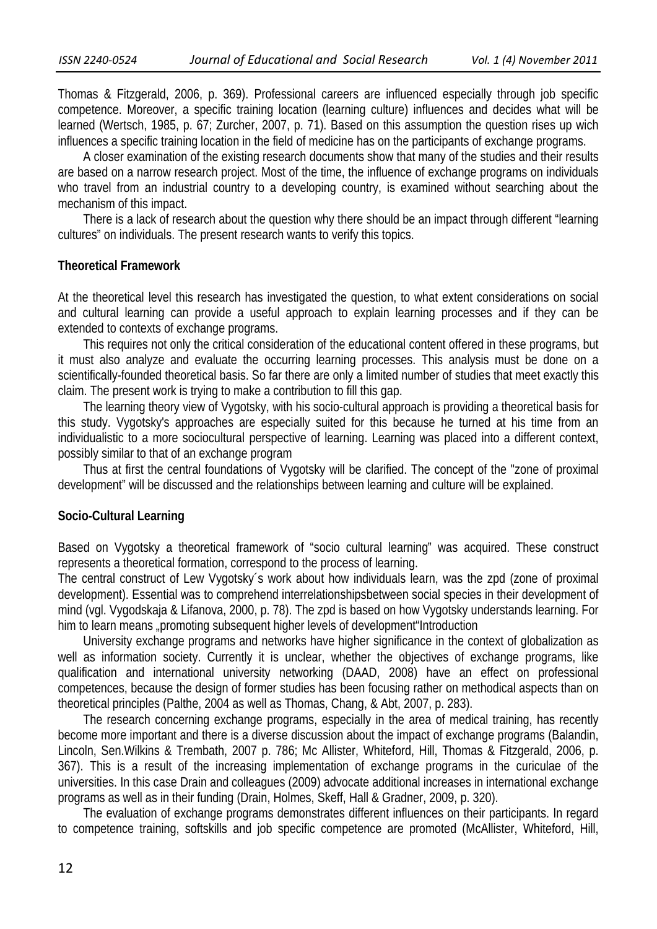Thomas & Fitzgerald, 2006, p. 369). Professional careers are influenced especially through job specific competence. Moreover, a specific training location (learning culture) influences and decides what will be learned (Wertsch, 1985, p. 67; Zurcher, 2007, p. 71). Based on this assumption the question rises up wich influences a specific training location in the field of medicine has on the participants of exchange programs.

 A closer examination of the existing research documents show that many of the studies and their results are based on a narrow research project. Most of the time, the influence of exchange programs on individuals who travel from an industrial country to a developing country, is examined without searching about the mechanism of this impact.

 There is a lack of research about the question why there should be an impact through different "learning cultures" on individuals. The present research wants to verify this topics.

#### **Theoretical Framework**

At the theoretical level this research has investigated the question, to what extent considerations on social and cultural learning can provide a useful approach to explain learning processes and if they can be extended to contexts of exchange programs.

 This requires not only the critical consideration of the educational content offered in these programs, but it must also analyze and evaluate the occurring learning processes. This analysis must be done on a scientifically-founded theoretical basis. So far there are only a limited number of studies that meet exactly this claim. The present work is trying to make a contribution to fill this gap.

 The learning theory view of Vygotsky, with his socio-cultural approach is providing a theoretical basis for this study. Vygotsky's approaches are especially suited for this because he turned at his time from an individualistic to a more sociocultural perspective of learning. Learning was placed into a different context, possibly similar to that of an exchange program

 Thus at first the central foundations of Vygotsky will be clarified. The concept of the "zone of proximal development" will be discussed and the relationships between learning and culture will be explained.

## **Socio-Cultural Learning**

Based on Vygotsky a theoretical framework of "socio cultural learning" was acquired. These construct represents a theoretical formation, correspond to the process of learning.

The central construct of Lew Vygotsky´s work about how individuals learn, was the zpd (zone of proximal development). Essential was to comprehend interrelationshipsbetween social species in their development of mind (vgl. Vygodskaja & Lifanova, 2000, p. 78). The zpd is based on how Vygotsky understands learning. For him to learn means "promoting subsequent higher levels of development"Introduction

 University exchange programs and networks have higher significance in the context of globalization as well as information society. Currently it is unclear, whether the objectives of exchange programs, like qualification and international university networking (DAAD, 2008) have an effect on professional competences, because the design of former studies has been focusing rather on methodical aspects than on theoretical principles (Palthe, 2004 as well as Thomas, Chang, & Abt, 2007, p. 283).

 The research concerning exchange programs, especially in the area of medical training, has recently become more important and there is a diverse discussion about the impact of exchange programs (Balandin, Lincoln, Sen.Wilkins & Trembath, 2007 p. 786; Mc Allister, Whiteford, Hill, Thomas & Fitzgerald, 2006, p. 367). This is a result of the increasing implementation of exchange programs in the curiculae of the universities. In this case Drain and colleagues (2009) advocate additional increases in international exchange programs as well as in their funding (Drain, Holmes, Skeff, Hall & Gradner, 2009, p. 320).

 The evaluation of exchange programs demonstrates different influences on their participants. In regard to competence training, softskills and job specific competence are promoted (McAllister, Whiteford, Hill,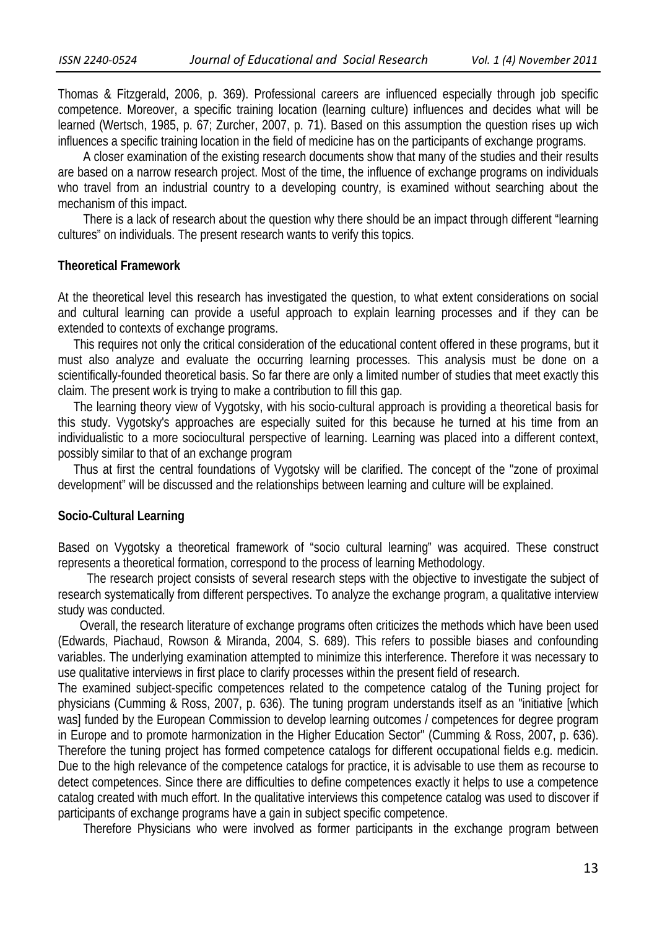Thomas & Fitzgerald, 2006, p. 369). Professional careers are influenced especially through job specific competence. Moreover, a specific training location (learning culture) influences and decides what will be learned (Wertsch, 1985, p. 67; Zurcher, 2007, p. 71). Based on this assumption the question rises up wich influences a specific training location in the field of medicine has on the participants of exchange programs.

 A closer examination of the existing research documents show that many of the studies and their results are based on a narrow research project. Most of the time, the influence of exchange programs on individuals who travel from an industrial country to a developing country, is examined without searching about the mechanism of this impact.

 There is a lack of research about the question why there should be an impact through different "learning cultures" on individuals. The present research wants to verify this topics.

#### **Theoretical Framework**

At the theoretical level this research has investigated the question, to what extent considerations on social and cultural learning can provide a useful approach to explain learning processes and if they can be extended to contexts of exchange programs.

 This requires not only the critical consideration of the educational content offered in these programs, but it must also analyze and evaluate the occurring learning processes. This analysis must be done on a scientifically-founded theoretical basis. So far there are only a limited number of studies that meet exactly this claim. The present work is trying to make a contribution to fill this gap.

 The learning theory view of Vygotsky, with his socio-cultural approach is providing a theoretical basis for this study. Vygotsky's approaches are especially suited for this because he turned at his time from an individualistic to a more sociocultural perspective of learning. Learning was placed into a different context, possibly similar to that of an exchange program

 Thus at first the central foundations of Vygotsky will be clarified. The concept of the "zone of proximal development" will be discussed and the relationships between learning and culture will be explained.

#### **Socio-Cultural Learning**

Based on Vygotsky a theoretical framework of "socio cultural learning" was acquired. These construct represents a theoretical formation, correspond to the process of learning Methodology.

 The research project consists of several research steps with the objective to investigate the subject of research systematically from different perspectives. To analyze the exchange program, a qualitative interview study was conducted.

 Overall, the research literature of exchange programs often criticizes the methods which have been used (Edwards, Piachaud, Rowson & Miranda, 2004, S. 689). This refers to possible biases and confounding variables. The underlying examination attempted to minimize this interference. Therefore it was necessary to use qualitative interviews in first place to clarify processes within the present field of research.

The examined subject-specific competences related to the competence catalog of the Tuning project for physicians (Cumming & Ross, 2007, p. 636). The tuning program understands itself as an "initiative [which was] funded by the European Commission to develop learning outcomes / competences for degree program in Europe and to promote harmonization in the Higher Education Sector" (Cumming & Ross, 2007, p. 636). Therefore the tuning project has formed competence catalogs for different occupational fields e.g. medicin. Due to the high relevance of the competence catalogs for practice, it is advisable to use them as recourse to detect competences. Since there are difficulties to define competences exactly it helps to use a competence catalog created with much effort. In the qualitative interviews this competence catalog was used to discover if participants of exchange programs have a gain in subject specific competence.

Therefore Physicians who were involved as former participants in the exchange program between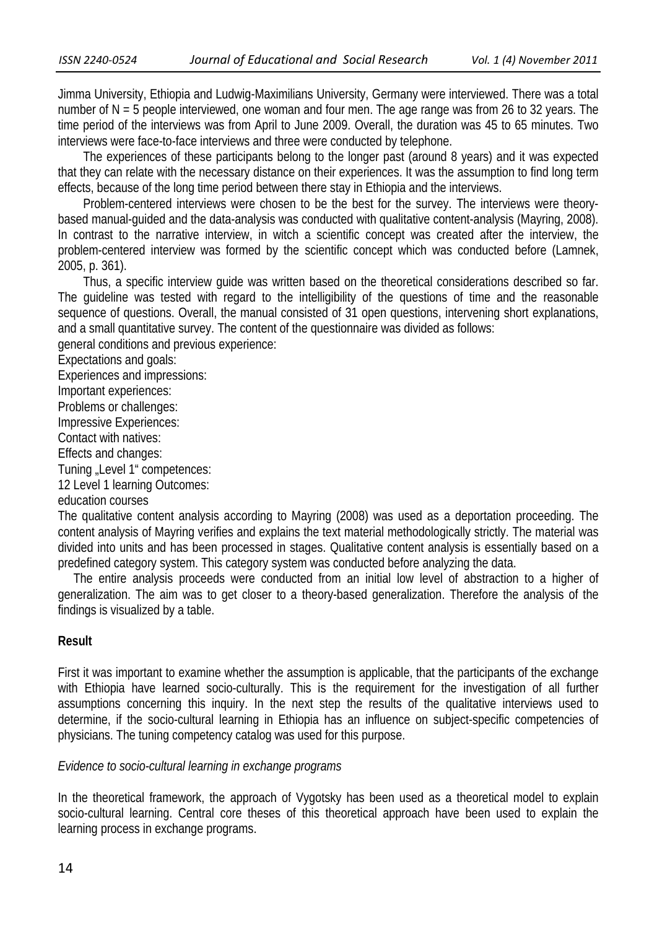Jimma University, Ethiopia and Ludwig-Maximilians University, Germany were interviewed. There was a total number of N = 5 people interviewed, one woman and four men. The age range was from 26 to 32 years. The time period of the interviews was from April to June 2009. Overall, the duration was 45 to 65 minutes. Two interviews were face-to-face interviews and three were conducted by telephone.

 The experiences of these participants belong to the longer past (around 8 years) and it was expected that they can relate with the necessary distance on their experiences. It was the assumption to find long term effects, because of the long time period between there stay in Ethiopia and the interviews.

 Problem-centered interviews were chosen to be the best for the survey. The interviews were theorybased manual-guided and the data-analysis was conducted with qualitative content-analysis (Mayring, 2008). In contrast to the narrative interview, in witch a scientific concept was created after the interview, the problem-centered interview was formed by the scientific concept which was conducted before (Lamnek, 2005, p. 361).

 Thus, a specific interview guide was written based on the theoretical considerations described so far. The guideline was tested with regard to the intelligibility of the questions of time and the reasonable sequence of questions. Overall, the manual consisted of 31 open questions, intervening short explanations, and a small quantitative survey. The content of the questionnaire was divided as follows:

general conditions and previous experience:

Expectations and goals:

Experiences and impressions:

Important experiences:

Problems or challenges:

Impressive Experiences:

Contact with natives:

Effects and changes:

Tuning "Level 1" competences:

12 Level 1 learning Outcomes:

education courses

The qualitative content analysis according to Mayring (2008) was used as a deportation proceeding. The content analysis of Mayring verifies and explains the text material methodologically strictly. The material was divided into units and has been processed in stages. Qualitative content analysis is essentially based on a predefined category system. This category system was conducted before analyzing the data.

 The entire analysis proceeds were conducted from an initial low level of abstraction to a higher of generalization. The aim was to get closer to a theory-based generalization. Therefore the analysis of the findings is visualized by a table.

## **Result**

First it was important to examine whether the assumption is applicable, that the participants of the exchange with Ethiopia have learned socio-culturally. This is the requirement for the investigation of all further assumptions concerning this inquiry. In the next step the results of the qualitative interviews used to determine, if the socio-cultural learning in Ethiopia has an influence on subject-specific competencies of physicians. The tuning competency catalog was used for this purpose.

## *Evidence to socio-cultural learning in exchange programs*

In the theoretical framework, the approach of Vygotsky has been used as a theoretical model to explain socio-cultural learning. Central core theses of this theoretical approach have been used to explain the learning process in exchange programs.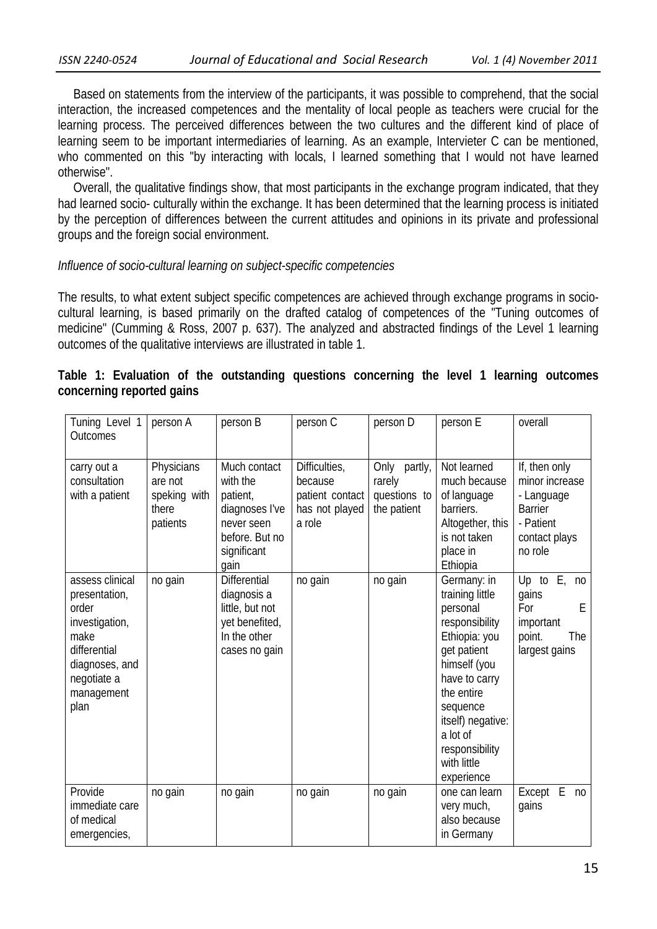Based on statements from the interview of the participants, it was possible to comprehend, that the social interaction, the increased competences and the mentality of local people as teachers were crucial for the learning process. The perceived differences between the two cultures and the different kind of place of learning seem to be important intermediaries of learning. As an example, Intervieter C can be mentioned, who commented on this "by interacting with locals, I learned something that I would not have learned otherwise".

 Overall, the qualitative findings show, that most participants in the exchange program indicated, that they had learned socio- culturally within the exchange. It has been determined that the learning process is initiated by the perception of differences between the current attitudes and opinions in its private and professional groups and the foreign social environment.

## *Influence of socio-cultural learning on subject-specific competencies*

The results, to what extent subject specific competences are achieved through exchange programs in sociocultural learning, is based primarily on the drafted catalog of competences of the "Tuning outcomes of medicine" (Cumming & Ross, 2007 p. 637). The analyzed and abstracted findings of the Level 1 learning outcomes of the qualitative interviews are illustrated in table 1.

|  |                           |  | Table 1: Evaluation of the outstanding questions concerning the level 1 learning outcomes |  |  |  |  |
|--|---------------------------|--|-------------------------------------------------------------------------------------------|--|--|--|--|
|  | concerning reported gains |  |                                                                                           |  |  |  |  |

| Tuning Level 1<br>Outcomes                                                                                                                 | person A                                                   | person B                                                                                                      | person C                                                                | person D                                              | person E                                                                                                                                                                                                                                | overall                                                                                                  |
|--------------------------------------------------------------------------------------------------------------------------------------------|------------------------------------------------------------|---------------------------------------------------------------------------------------------------------------|-------------------------------------------------------------------------|-------------------------------------------------------|-----------------------------------------------------------------------------------------------------------------------------------------------------------------------------------------------------------------------------------------|----------------------------------------------------------------------------------------------------------|
| carry out a<br>consultation<br>with a patient                                                                                              | Physicians<br>are not<br>speking with<br>there<br>patients | Much contact<br>with the<br>patient,<br>diagnoses l've<br>never seen<br>before. But no<br>significant<br>gain | Difficulties,<br>because<br>patient contact<br>has not played<br>a role | Only partly,<br>rarely<br>questions to<br>the patient | Not learned<br>much because<br>of language<br>barriers.<br>Altogether, this<br>is not taken<br>place in<br>Ethiopia                                                                                                                     | If, then only<br>minor increase<br>- Language<br><b>Barrier</b><br>- Patient<br>contact plays<br>no role |
| assess clinical<br>presentation,<br>order<br>investigation,<br>make<br>differential<br>diagnoses, and<br>negotiate a<br>management<br>plan | no gain                                                    | Differential<br>diagnosis a<br>little, but not<br>yet benefited,<br>In the other<br>cases no gain             | no gain                                                                 | no gain                                               | Germany: in<br>training little<br>personal<br>responsibility<br>Ethiopia: you<br>get patient<br>himself (you<br>have to carry<br>the entire<br>sequence<br>itself) negative:<br>a lot of<br>responsibility<br>with little<br>experience | Up to $E$ ,<br>no<br>gains<br>For<br>Ε<br>important<br>point.<br>The<br>largest gains                    |
| Provide<br>immediate care<br>of medical<br>emergencies,                                                                                    | no gain                                                    | no gain                                                                                                       | no gain                                                                 | no gain                                               | one can learn<br>very much,<br>also because<br>in Germany                                                                                                                                                                               | Except E<br>n <sub>0</sub><br>qains                                                                      |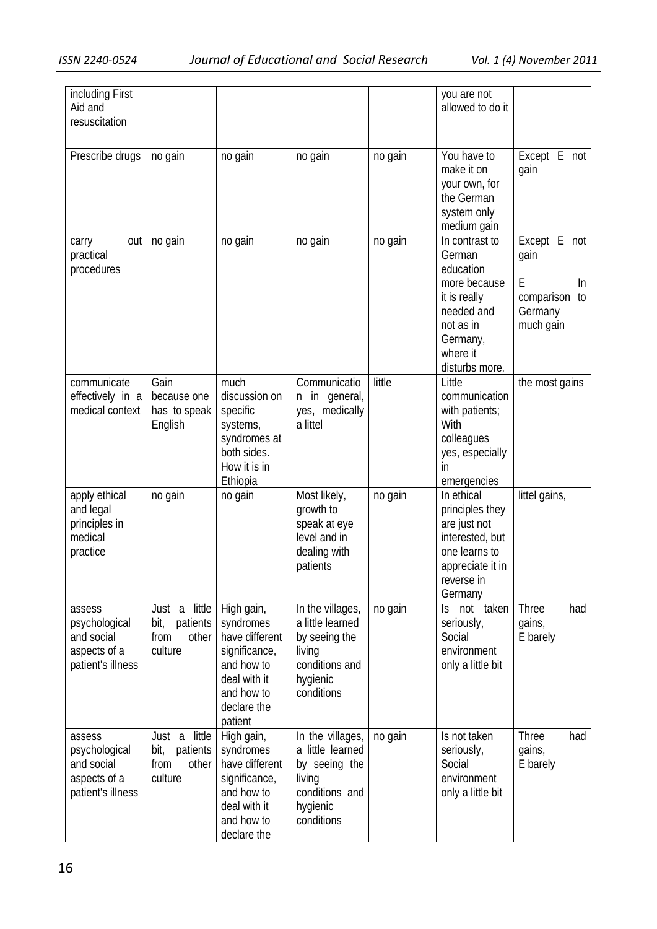| including First<br>Aid and<br>resuscitation                                |                                                                  |                                                                                                                                  |                                                                                                             |         | you are not<br>allowed to do it                                                                                                            |                                                                             |
|----------------------------------------------------------------------------|------------------------------------------------------------------|----------------------------------------------------------------------------------------------------------------------------------|-------------------------------------------------------------------------------------------------------------|---------|--------------------------------------------------------------------------------------------------------------------------------------------|-----------------------------------------------------------------------------|
| Prescribe drugs                                                            | no gain                                                          | no gain                                                                                                                          | no gain                                                                                                     | no gain | You have to<br>make it on<br>your own, for<br>the German<br>system only<br>medium gain                                                     | Except E not<br>gain                                                        |
| out<br>carry<br>practical<br>procedures                                    | no gain                                                          | no gain                                                                                                                          | no gain                                                                                                     | no gain | In contrast to<br>German<br>education<br>more because<br>it is really<br>needed and<br>not as in<br>Germany,<br>where it<br>disturbs more. | Except E not<br>gain<br>E<br>In<br>comparison<br>to<br>Germany<br>much gain |
| communicate<br>effectively in a<br>medical context                         | Gain<br>because one<br>has to speak<br>English                   | much<br>discussion on<br>specific<br>systems,<br>syndromes at<br>both sides.<br>How it is in<br>Ethiopia                         | Communicatio<br>n in general,<br>yes, medically<br>a littel                                                 | little  | Little<br>communication<br>with patients;<br>With<br>colleagues<br>yes, especially<br>in<br>emergencies                                    | the most gains                                                              |
| apply ethical<br>and legal<br>principles in<br>medical<br>practice         | no gain                                                          | no gain                                                                                                                          | Most likely,<br>growth to<br>speak at eye<br>level and in<br>dealing with<br>patients                       | no gain | In ethical<br>principles they<br>are just not<br>interested, but<br>one learns to<br>appreciate it in<br>reverse in<br>Germany             | littel gains,                                                               |
| assess<br>psychological<br>and social<br>aspects of a<br>patient's illness | Just a little<br>bit,<br>patients<br>other<br>from<br>culture    | High gain,<br>syndromes<br>have different<br>significance,<br>and how to<br>deal with it<br>and how to<br>declare the<br>patient | In the villages,<br>a little learned<br>by seeing the<br>living<br>conditions and<br>hygienic<br>conditions | no gain | Is not taken<br>seriously,<br>Social<br>environment<br>only a little bit                                                                   | Three<br>had<br>gains,<br>E barely                                          |
| assess<br>psychological<br>and social<br>aspects of a<br>patient's illness | little<br>Just a<br>bit,<br>patients<br>other<br>from<br>culture | High gain,<br>syndromes<br>have different<br>significance,<br>and how to<br>deal with it<br>and how to<br>declare the            | In the villages,<br>a little learned<br>by seeing the<br>living<br>conditions and<br>hygienic<br>conditions | no gain | Is not taken<br>seriously,<br>Social<br>environment<br>only a little bit                                                                   | Three<br>had<br>gains,<br>E barely                                          |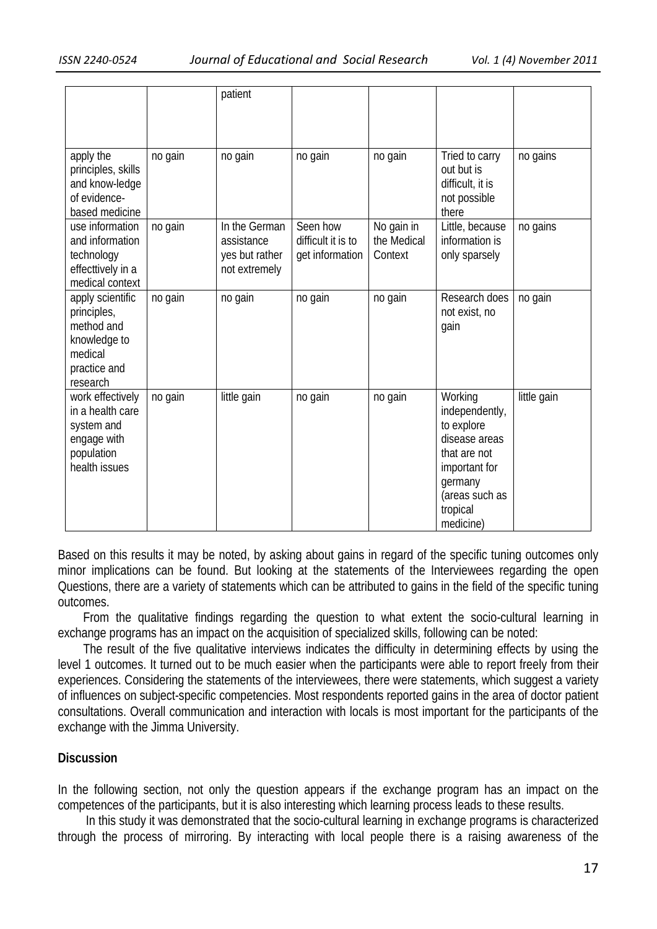|                                                                                                      |         | patient                                                        |                                                   |                                      |                                                                                                                                                 |             |
|------------------------------------------------------------------------------------------------------|---------|----------------------------------------------------------------|---------------------------------------------------|--------------------------------------|-------------------------------------------------------------------------------------------------------------------------------------------------|-------------|
| apply the<br>principles, skills<br>and know-ledge<br>of evidence-<br>based medicine                  | no gain | no gain                                                        | no gain                                           | no gain                              | Tried to carry<br>out but is<br>difficult, it is<br>not possible<br>there                                                                       | no gains    |
| use information<br>and information<br>technology<br>effecttively in a<br>medical context             | no gain | In the German<br>assistance<br>yes but rather<br>not extremely | Seen how<br>difficult it is to<br>get information | No gain in<br>the Medical<br>Context | Little, because<br>information is<br>only sparsely                                                                                              | no gains    |
| apply scientific<br>principles,<br>method and<br>knowledge to<br>medical<br>practice and<br>research | no gain | no gain                                                        | no gain                                           | no gain                              | Research does<br>not exist, no<br>gain                                                                                                          | no gain     |
| work effectively<br>in a health care<br>system and<br>engage with<br>population<br>health issues     | no gain | little gain                                                    | no gain                                           | no gain                              | Working<br>independently,<br>to explore<br>disease areas<br>that are not<br>important for<br>germany<br>(areas such as<br>tropical<br>medicine) | little gain |

Based on this results it may be noted, by asking about gains in regard of the specific tuning outcomes only minor implications can be found. But looking at the statements of the Interviewees regarding the open Questions, there are a variety of statements which can be attributed to gains in the field of the specific tuning outcomes.

 From the qualitative findings regarding the question to what extent the socio-cultural learning in exchange programs has an impact on the acquisition of specialized skills, following can be noted:

 The result of the five qualitative interviews indicates the difficulty in determining effects by using the level 1 outcomes. It turned out to be much easier when the participants were able to report freely from their experiences. Considering the statements of the interviewees, there were statements, which suggest a variety of influences on subject-specific competencies. Most respondents reported gains in the area of doctor patient consultations. Overall communication and interaction with locals is most important for the participants of the exchange with the Jimma University.

# **Discussion**

In the following section, not only the question appears if the exchange program has an impact on the competences of the participants, but it is also interesting which learning process leads to these results.

 In this study it was demonstrated that the socio-cultural learning in exchange programs is characterized through the process of mirroring. By interacting with local people there is a raising awareness of the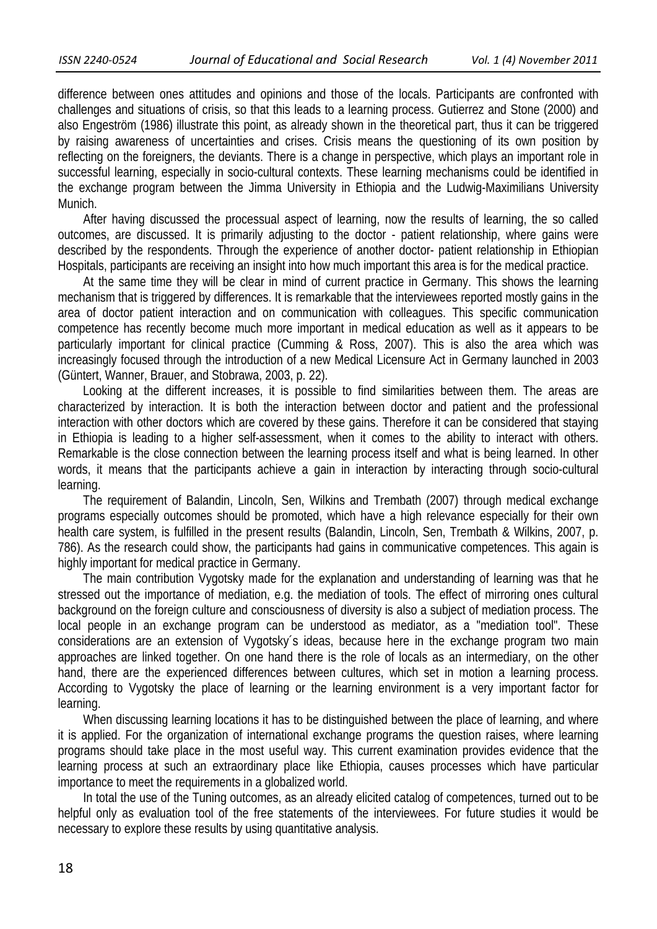difference between ones attitudes and opinions and those of the locals. Participants are confronted with challenges and situations of crisis, so that this leads to a learning process. Gutierrez and Stone (2000) and also Engeström (1986) illustrate this point, as already shown in the theoretical part, thus it can be triggered by raising awareness of uncertainties and crises. Crisis means the questioning of its own position by reflecting on the foreigners, the deviants. There is a change in perspective, which plays an important role in successful learning, especially in socio-cultural contexts. These learning mechanisms could be identified in the exchange program between the Jimma University in Ethiopia and the Ludwig-Maximilians University Munich.

 After having discussed the processual aspect of learning, now the results of learning, the so called outcomes, are discussed. It is primarily adjusting to the doctor - patient relationship, where gains were described by the respondents. Through the experience of another doctor- patient relationship in Ethiopian Hospitals, participants are receiving an insight into how much important this area is for the medical practice.

 At the same time they will be clear in mind of current practice in Germany. This shows the learning mechanism that is triggered by differences. It is remarkable that the interviewees reported mostly gains in the area of doctor patient interaction and on communication with colleagues. This specific communication competence has recently become much more important in medical education as well as it appears to be particularly important for clinical practice (Cumming & Ross, 2007). This is also the area which was increasingly focused through the introduction of a new Medical Licensure Act in Germany launched in 2003 (Güntert, Wanner, Brauer, and Stobrawa, 2003, p. 22).

 Looking at the different increases, it is possible to find similarities between them. The areas are characterized by interaction. It is both the interaction between doctor and patient and the professional interaction with other doctors which are covered by these gains. Therefore it can be considered that staying in Ethiopia is leading to a higher self-assessment, when it comes to the ability to interact with others. Remarkable is the close connection between the learning process itself and what is being learned. In other words, it means that the participants achieve a gain in interaction by interacting through socio-cultural learning.

 The requirement of Balandin, Lincoln, Sen, Wilkins and Trembath (2007) through medical exchange programs especially outcomes should be promoted, which have a high relevance especially for their own health care system, is fulfilled in the present results (Balandin, Lincoln, Sen, Trembath & Wilkins, 2007, p. 786). As the research could show, the participants had gains in communicative competences. This again is highly important for medical practice in Germany.

 The main contribution Vygotsky made for the explanation and understanding of learning was that he stressed out the importance of mediation, e.g. the mediation of tools. The effect of mirroring ones cultural background on the foreign culture and consciousness of diversity is also a subject of mediation process. The local people in an exchange program can be understood as mediator, as a "mediation tool". These considerations are an extension of Vygotsky´s ideas, because here in the exchange program two main approaches are linked together. On one hand there is the role of locals as an intermediary, on the other hand, there are the experienced differences between cultures, which set in motion a learning process. According to Vygotsky the place of learning or the learning environment is a very important factor for learning.

When discussing learning locations it has to be distinguished between the place of learning, and where it is applied. For the organization of international exchange programs the question raises, where learning programs should take place in the most useful way. This current examination provides evidence that the learning process at such an extraordinary place like Ethiopia, causes processes which have particular importance to meet the requirements in a globalized world.

 In total the use of the Tuning outcomes, as an already elicited catalog of competences, turned out to be helpful only as evaluation tool of the free statements of the interviewees. For future studies it would be necessary to explore these results by using quantitative analysis.